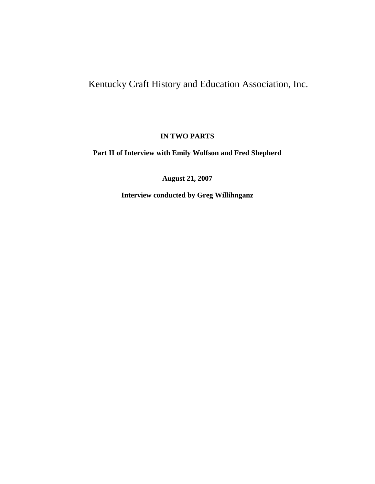## Kentucky Craft History and Education Association, Inc.

**IN TWO PARTS**

**Part II of Interview with Emily Wolfson and Fred Shepherd**

**August 21, 2007**

**Interview conducted by Greg Willihnganz**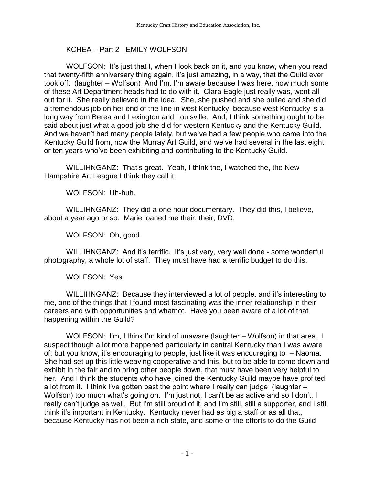## KCHEA – Part 2 - EMILY WOLFSON

WOLFSON: It's just that I, when I look back on it, and you know, when you read that twenty-fifth anniversary thing again, it's just amazing, in a way, that the Guild ever took off. (laughter – Wolfson) And I'm, I'm aware because I was here, how much some of these Art Department heads had to do with it. Clara Eagle just really was, went all out for it. She really believed in the idea. She, she pushed and she pulled and she did a tremendous job on her end of the line in west Kentucky, because west Kentucky is a long way from Berea and Lexington and Louisville. And, I think something ought to be said about just what a good job she did for western Kentucky and the Kentucky Guild. And we haven't had many people lately, but we've had a few people who came into the Kentucky Guild from, now the Murray Art Guild, and we've had several in the last eight or ten years who've been exhibiting and contributing to the Kentucky Guild.

WILLIHNGANZ: That's great. Yeah, I think the, I watched the, the New Hampshire Art League I think they call it.

WOLFSON: Uh-huh.

WILLIHNGANZ: They did a one hour documentary. They did this, I believe, about a year ago or so. Marie loaned me their, their, DVD.

WOLFSON: Oh, good.

WILLIHNGANZ: And it's terrific. It's just very, very well done - some wonderful photography, a whole lot of staff. They must have had a terrific budget to do this.

WOLFSON: Yes.

WILLIHNGANZ: Because they interviewed a lot of people, and it's interesting to me, one of the things that I found most fascinating was the inner relationship in their careers and with opportunities and whatnot. Have you been aware of a lot of that happening within the Guild?

WOLFSON: I'm, I think I'm kind of unaware (laughter – Wolfson) in that area. I suspect though a lot more happened particularly in central Kentucky than I was aware of, but you know, it's encouraging to people, just like it was encouraging to – Naoma. She had set up this little weaving cooperative and this, but to be able to come down and exhibit in the fair and to bring other people down, that must have been very helpful to her. And I think the students who have joined the Kentucky Guild maybe have profited a lot from it. I think I've gotten past the point where I really can judge (laughter – Wolfson) too much what's going on. I'm just not, I can't be as active and so I don't, I really can't judge as well. But I'm still proud of it, and I'm still, still a supporter, and I still think it's important in Kentucky. Kentucky never had as big a staff or as all that, because Kentucky has not been a rich state, and some of the efforts to do the Guild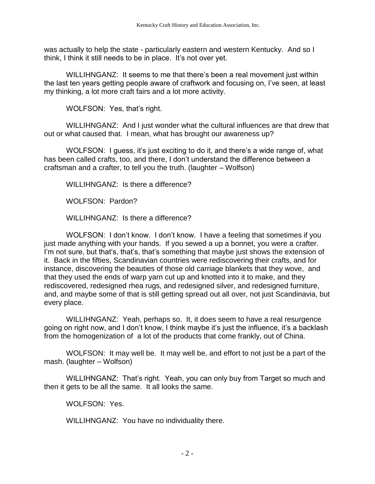was actually to help the state - particularly eastern and western Kentucky. And so I think, I think it still needs to be in place. It's not over yet.

WILLIHNGANZ: It seems to me that there's been a real movement just within the last ten years getting people aware of craftwork and focusing on, I've seen, at least my thinking, a lot more craft fairs and a lot more activity.

WOLFSON: Yes, that's right.

WILLIHNGANZ: And I just wonder what the cultural influences are that drew that out or what caused that. I mean, what has brought our awareness up?

WOLFSON: I guess, it's just exciting to do it, and there's a wide range of, what has been called crafts, too, and there, I don't understand the difference between a craftsman and a crafter, to tell you the truth. (laughter – Wolfson)

WILLIHNGANZ: Is there a difference?

WOLFSON: Pardon?

WILLIHNGANZ: Is there a difference?

WOLFSON: I don't know. I don't know. I have a feeling that sometimes if you just made anything with your hands. If you sewed a up a bonnet, you were a crafter. I'm not sure, but that's, that's, that's something that maybe just shows the extension of it. Back in the fifties, Scandinavian countries were rediscovering their crafts, and for instance, discovering the beauties of those old carriage blankets that they wove, and that they used the ends of warp yarn cut up and knotted into it to make, and they rediscovered, redesigned rhea rugs, and redesigned silver, and redesigned furniture, and, and maybe some of that is still getting spread out all over, not just Scandinavia, but every place.

WILLIHNGANZ: Yeah, perhaps so. It, it does seem to have a real resurgence going on right now, and I don't know, I think maybe it's just the influence, it's a backlash from the homogenization of a lot of the products that come frankly, out of China.

WOLFSON: It may well be. It may well be, and effort to not just be a part of the mash. (laughter – Wolfson)

WILLIHNGANZ: That's right. Yeah, you can only buy from Target so much and then it gets to be all the same. It all looks the same.

WOLFSON: Yes.

WILLIHNGANZ: You have no individuality there.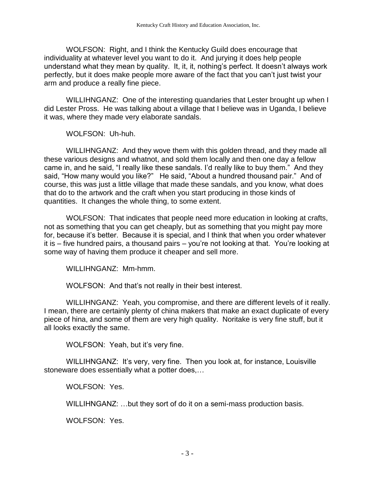WOLFSON: Right, and I think the Kentucky Guild does encourage that individuality at whatever level you want to do it. And jurying it does help people understand what they mean by quality. It, it, it, nothing's perfect. It doesn't always work perfectly, but it does make people more aware of the fact that you can't just twist your arm and produce a really fine piece.

WILLIHNGANZ: One of the interesting quandaries that Lester brought up when I did Lester Pross. He was talking about a village that I believe was in Uganda, I believe it was, where they made very elaborate sandals.

WOLFSON: Uh-huh.

WILLIHNGANZ: And they wove them with this golden thread, and they made all these various designs and whatnot, and sold them locally and then one day a fellow came in, and he said, "I really like these sandals. I'd really like to buy them." And they said, "How many would you like?" He said, "About a hundred thousand pair." And of course, this was just a little village that made these sandals, and you know, what does that do to the artwork and the craft when you start producing in those kinds of quantities. It changes the whole thing, to some extent.

WOLFSON: That indicates that people need more education in looking at crafts, not as something that you can get cheaply, but as something that you might pay more for, because it's better. Because it is special, and I think that when you order whatever it is – five hundred pairs, a thousand pairs – you're not looking at that. You're looking at some way of having them produce it cheaper and sell more.

WILLIHNGANZ: Mm-hmm.

WOLFSON: And that's not really in their best interest.

WILLIHNGANZ: Yeah, you compromise, and there are different levels of it really. I mean, there are certainly plenty of china makers that make an exact duplicate of every piece of hina, and some of them are very high quality. Noritake is very fine stuff, but it all looks exactly the same.

WOLFSON: Yeah, but it's very fine.

WILLIHNGANZ: It's very, very fine. Then you look at, for instance, Louisville stoneware does essentially what a potter does,…

WOLFSON: Yes.

WILLIHNGANZ: …but they sort of do it on a semi-mass production basis.

WOLFSON: Yes.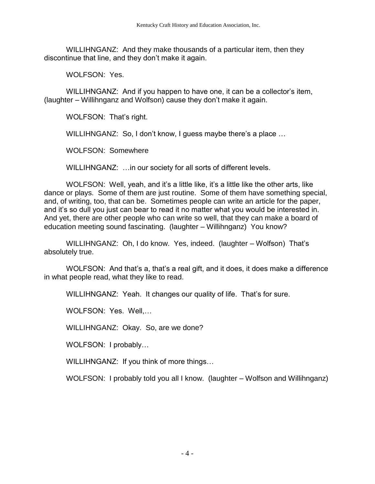WILLIHNGANZ: And they make thousands of a particular item, then they discontinue that line, and they don't make it again.

WOLFSON: Yes.

WILLIHNGANZ: And if you happen to have one, it can be a collector's item, (laughter – Willihnganz and Wolfson) cause they don't make it again.

WOLFSON: That's right.

WILLIHNGANZ: So, I don't know, I guess maybe there's a place …

WOLFSON: Somewhere

WILLIHNGANZ: …in our society for all sorts of different levels.

WOLFSON: Well, yeah, and it's a little like, it's a little like the other arts, like dance or plays. Some of them are just routine. Some of them have something special, and, of writing, too, that can be. Sometimes people can write an article for the paper, and it's so dull you just can bear to read it no matter what you would be interested in. And yet, there are other people who can write so well, that they can make a board of education meeting sound fascinating. (laughter – Willihnganz) You know?

WILLIHNGANZ: Oh, I do know. Yes, indeed. (laughter – Wolfson) That's absolutely true.

WOLFSON: And that's a, that's a real gift, and it does, it does make a difference in what people read, what they like to read.

WILLIHNGANZ: Yeah. It changes our quality of life. That's for sure.

WOLFSON: Yes. Well,…

WILLIHNGANZ: Okay. So, are we done?

WOLFSON: I probably…

WILLIHNGANZ: If you think of more things…

WOLFSON: I probably told you all I know. (laughter – Wolfson and Willihnganz)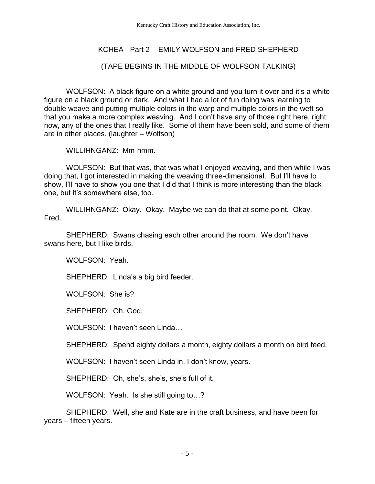## KCHEA - Part 2 - EMILY WOLFSON and FRED SHEPHERD

## (TAPE BEGINS IN THE MIDDLE OF WOLFSON TALKING)

WOLFSON: A black figure on a white ground and you turn it over and it's a white figure on a black ground or dark. And what I had a lot of fun doing was learning to double weave and putting multiple colors in the warp and multiple colors in the weft so that you make a more complex weaving. And I don't have any of those right here, right now, any of the ones that I really like. Some of them have been sold, and some of them are in other places. (laughter – Wolfson)

WILLIHNGANZ: Mm-hmm.

WOLFSON: But that was, that was what I enjoyed weaving, and then while I was doing that, I got interested in making the weaving three-dimensional. But I'll have to show, I'll have to show you one that I did that I think is more interesting than the black one, but it's somewhere else, too.

WILLIHNGANZ: Okay. Okay. Maybe we can do that at some point. Okay, Fred.

SHEPHERD: Swans chasing each other around the room. We don't have swans here, but I like birds.

WOLFSON: Yeah.

SHEPHERD: Linda's a big bird feeder.

WOLFSON: She is?

SHEPHERD: Oh, God.

WOLFSON: I haven't seen Linda…

SHEPHERD: Spend eighty dollars a month, eighty dollars a month on bird feed.

WOLFSON: I haven't seen Linda in, I don't know, years.

SHEPHERD: Oh, she's, she's, she's full of it.

WOLFSON: Yeah. Is she still going to...?

SHEPHERD: Well, she and Kate are in the craft business, and have been for years – fifteen years.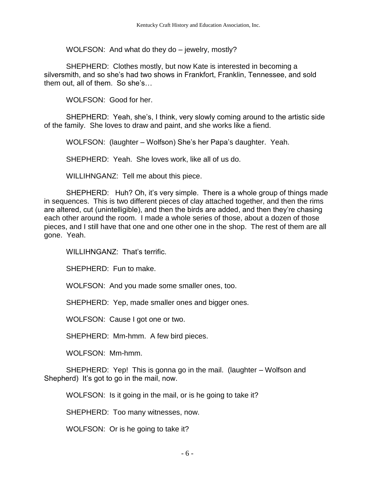WOLFSON: And what do they do – jewelry, mostly?

SHEPHERD: Clothes mostly, but now Kate is interested in becoming a silversmith, and so she's had two shows in Frankfort, Franklin, Tennessee, and sold them out, all of them. So she's…

WOLFSON: Good for her.

SHEPHERD: Yeah, she's, I think, very slowly coming around to the artistic side of the family. She loves to draw and paint, and she works like a fiend.

WOLFSON: (laughter – Wolfson) She's her Papa's daughter. Yeah.

SHEPHERD: Yeah. She loves work, like all of us do.

WILLIHNGANZ: Tell me about this piece.

SHEPHERD: Huh? Oh, it's very simple. There is a whole group of things made in sequences. This is two different pieces of clay attached together, and then the rims are altered, cut (unintelligible), and then the birds are added, and then they're chasing each other around the room. I made a whole series of those, about a dozen of those pieces, and I still have that one and one other one in the shop. The rest of them are all gone. Yeah.

WILLIHNGANZ: That's terrific.

SHEPHERD: Fun to make.

WOLFSON: And you made some smaller ones, too.

SHEPHERD: Yep, made smaller ones and bigger ones.

WOLFSON: Cause I got one or two.

SHEPHERD: Mm-hmm. A few bird pieces.

WOLFSON: Mm-hmm.

SHEPHERD: Yep! This is gonna go in the mail. (laughter – Wolfson and Shepherd) It's got to go in the mail, now.

WOLFSON: Is it going in the mail, or is he going to take it?

SHEPHERD: Too many witnesses, now.

WOLFSON: Or is he going to take it?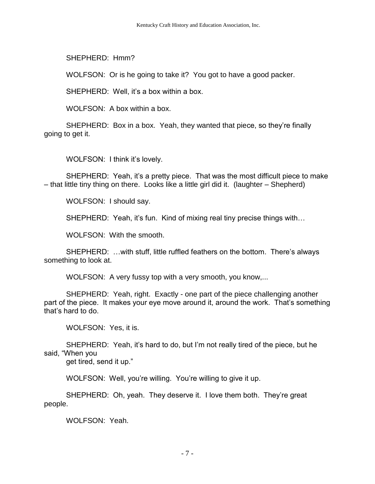SHEPHERD: Hmm?

WOLFSON: Or is he going to take it? You got to have a good packer.

SHEPHERD: Well, it's a box within a box.

WOLFSON: A box within a box.

SHEPHERD: Box in a box. Yeah, they wanted that piece, so they're finally going to get it.

WOLFSON: I think it's lovely.

SHEPHERD: Yeah, it's a pretty piece. That was the most difficult piece to make – that little tiny thing on there. Looks like a little girl did it. (laughter – Shepherd)

WOLFSON: I should say.

SHEPHERD: Yeah, it's fun. Kind of mixing real tiny precise things with…

WOLFSON: With the smooth.

SHEPHERD: …with stuff, little ruffled feathers on the bottom. There's always something to look at.

WOLFSON: A very fussy top with a very smooth, you know,...

SHEPHERD: Yeah, right. Exactly - one part of the piece challenging another part of the piece. It makes your eye move around it, around the work. That's something that's hard to do.

WOLFSON: Yes, it is.

SHEPHERD: Yeah, it's hard to do, but I'm not really tired of the piece, but he said, "When you

get tired, send it up."

WOLFSON: Well, you're willing. You're willing to give it up.

SHEPHERD: Oh, yeah. They deserve it. I love them both. They're great people.

WOLFSON: Yeah.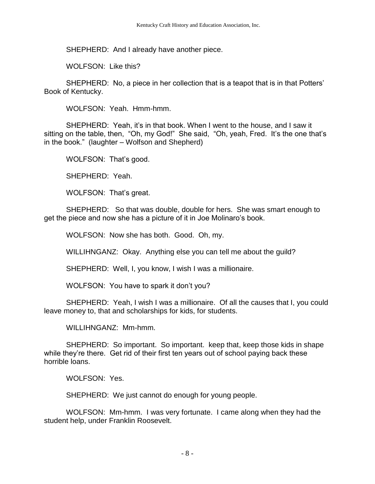SHEPHERD: And I already have another piece.

WOLFSON: Like this?

SHEPHERD: No, a piece in her collection that is a teapot that is in that Potters' Book of Kentucky.

WOLFSON: Yeah. Hmm-hmm.

SHEPHERD: Yeah, it's in that book. When I went to the house, and I saw it sitting on the table, then, "Oh, my God!" She said, "Oh, yeah, Fred. It's the one that's in the book." (laughter – Wolfson and Shepherd)

WOLFSON: That's good.

SHEPHERD: Yeah.

WOLFSON: That's great.

SHEPHERD: So that was double, double for hers. She was smart enough to get the piece and now she has a picture of it in Joe Molinaro's book.

WOLFSON: Now she has both. Good. Oh, my.

WILLIHNGANZ: Okay. Anything else you can tell me about the guild?

SHEPHERD: Well, I, you know, I wish I was a millionaire.

WOLFSON: You have to spark it don't you?

SHEPHERD: Yeah, I wish I was a millionaire. Of all the causes that I, you could leave money to, that and scholarships for kids, for students.

WILLIHNGANZ: Mm-hmm.

SHEPHERD: So important. So important. keep that, keep those kids in shape while they're there. Get rid of their first ten years out of school paying back these horrible loans.

WOLFSON: Yes.

SHEPHERD: We just cannot do enough for young people.

WOLFSON: Mm-hmm. I was very fortunate. I came along when they had the student help, under Franklin Roosevelt.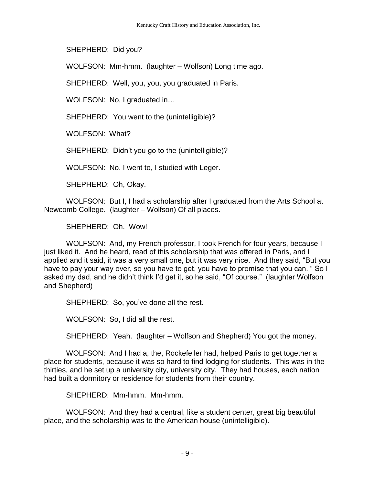SHEPHERD: Did you?

WOLFSON: Mm-hmm. (laughter – Wolfson) Long time ago.

SHEPHERD: Well, you, you, you graduated in Paris.

WOLFSON: No, I graduated in…

SHEPHERD: You went to the (unintelligible)?

WOLFSON: What?

SHEPHERD: Didn't you go to the (unintelligible)?

WOLFSON: No. I went to, I studied with Leger.

SHEPHERD: Oh, Okay.

WOLFSON: But I, I had a scholarship after I graduated from the Arts School at Newcomb College. (laughter – Wolfson) Of all places.

SHEPHERD: Oh. Wow!

WOLFSON: And, my French professor, I took French for four years, because I just liked it. And he heard, read of this scholarship that was offered in Paris, and I applied and it said, it was a very small one, but it was very nice. And they said, "But you have to pay your way over, so you have to get, you have to promise that you can. " So I asked my dad, and he didn't think I'd get it, so he said, "Of course." (laughter Wolfson and Shepherd)

SHEPHERD: So, you've done all the rest.

WOLFSON: So, I did all the rest.

SHEPHERD: Yeah. (laughter – Wolfson and Shepherd) You got the money.

WOLFSON: And I had a, the, Rockefeller had, helped Paris to get together a place for students, because it was so hard to find lodging for students. This was in the thirties, and he set up a university city, university city. They had houses, each nation had built a dormitory or residence for students from their country.

SHEPHERD: Mm-hmm. Mm-hmm.

WOLFSON: And they had a central, like a student center, great big beautiful place, and the scholarship was to the American house (unintelligible).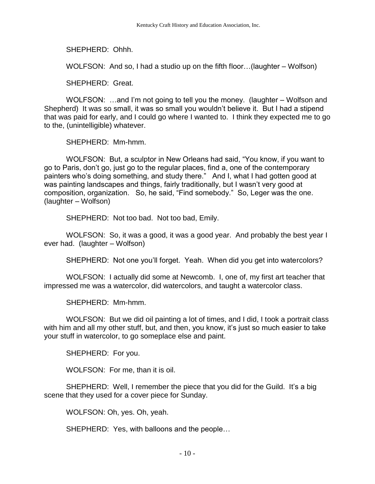SHEPHERD: Ohhh.

WOLFSON: And so, I had a studio up on the fifth floor…(laughter – Wolfson)

SHEPHERD: Great.

WOLFSON: …and I'm not going to tell you the money. (laughter – Wolfson and Shepherd) It was so small, it was so small you wouldn't believe it. But I had a stipend that was paid for early, and I could go where I wanted to. I think they expected me to go to the, (unintelligible) whatever.

SHEPHERD: Mm-hmm.

WOLFSON: But, a sculptor in New Orleans had said, "You know, if you want to go to Paris, don't go, just go to the regular places, find a, one of the contemporary painters who's doing something, and study there." And I, what I had gotten good at was painting landscapes and things, fairly traditionally, but I wasn't very good at composition, organization. So, he said, "Find somebody." So, Leger was the one. (laughter – Wolfson)

SHEPHERD: Not too bad. Not too bad, Emily.

WOLFSON: So, it was a good, it was a good year. And probably the best year I ever had. (laughter – Wolfson)

SHEPHERD: Not one you'll forget. Yeah. When did you get into watercolors?

WOLFSON: I actually did some at Newcomb. I, one of, my first art teacher that impressed me was a watercolor, did watercolors, and taught a watercolor class.

SHEPHERD: Mm-hmm.

WOLFSON: But we did oil painting a lot of times, and I did, I took a portrait class with him and all my other stuff, but, and then, you know, it's just so much easier to take your stuff in watercolor, to go someplace else and paint.

SHEPHERD: For you.

WOLFSON: For me, than it is oil.

SHEPHERD: Well, I remember the piece that you did for the Guild. It's a big scene that they used for a cover piece for Sunday.

WOLFSON: Oh, yes. Oh, yeah.

SHEPHERD: Yes, with balloons and the people…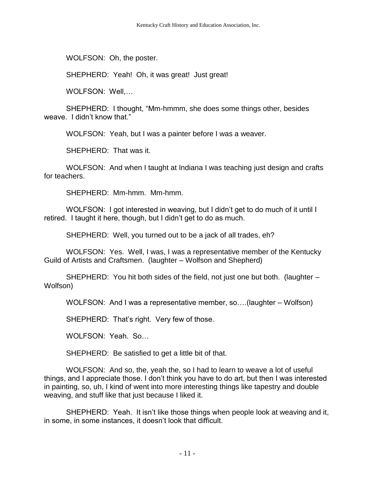WOLFSON: Oh, the poster.

SHEPHERD: Yeah! Oh, it was great! Just great!

WOLFSON: Well,…

SHEPHERD: I thought, "Mm-hmmm, she does some things other, besides weave. I didn't know that."

WOLFSON: Yeah, but I was a painter before I was a weaver.

SHEPHERD: That was it.

WOLFSON: And when I taught at Indiana I was teaching just design and crafts for teachers.

SHEPHERD: Mm-hmm. Mm-hmm.

WOLFSON: I got interested in weaving, but I didn't get to do much of it until I retired. I taught it here, though, but I didn't get to do as much.

SHEPHERD: Well, you turned out to be a jack of all trades, eh?

WOLFSON: Yes. Well, I was, I was a representative member of the Kentucky Guild of Artists and Craftsmen. (laughter – Wolfson and Shepherd)

SHEPHERD: You hit both sides of the field, not just one but both. (laughter – Wolfson)

WOLFSON: And I was a representative member, so….(laughter – Wolfson)

SHEPHERD: That's right. Very few of those.

WOLFSON: Yeah. So…

SHEPHERD: Be satisfied to get a little bit of that.

WOLFSON: And so, the, yeah the, so I had to learn to weave a lot of useful things, and I appreciate those. I don't think you have to do art, but then I was interested in painting, so, uh, I kind of went into more interesting things like tapestry and double weaving, and stuff like that just because I liked it.

SHEPHERD: Yeah. It isn't like those things when people look at weaving and it, in some, in some instances, it doesn't look that difficult.